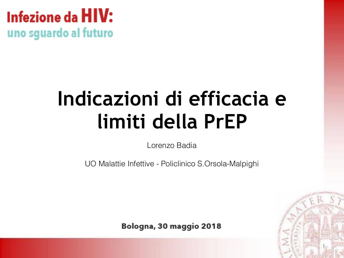### Infezione da **HIV:** uno sguardo al futuro

# **Indicazioni di efficacia e limiti della PrEP**

Lorenzo Badia

UO Malattie Infettive - Policlinico S.Orsola-Malpighi

Bologna, 30 maggio 2018

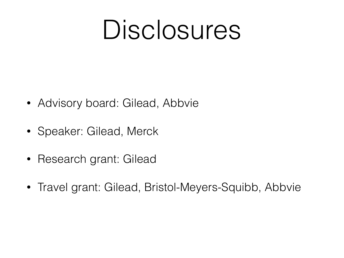# Disclosures

- Advisory board: Gilead, Abbvie
- Speaker: Gilead, Merck
- Research grant: Gilead
- Travel grant: Gilead, Bristol-Meyers-Squibb, Abbvie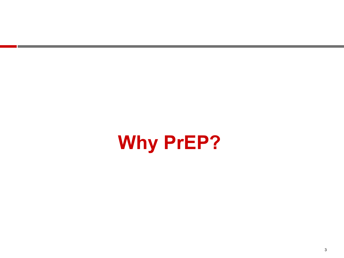# **Why PrEP?**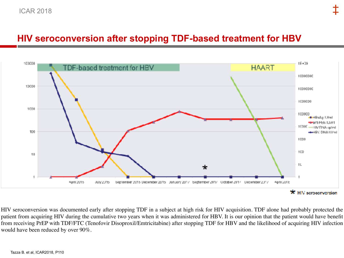#### **HIV seroconversion after stopping TDF-based treatment for HBV**



HIV seroconversion was documented early after stopping TDF in a subject at high risk for HIV acquisition. TDF alone had probably protected the patient from acquiring HIV during the cumulative two years when it was administered for HBV. It is our opinion that the patient would have benefit from receiving PrEP with TDF/FTC (Tenofovir Disoproxil/Emtricitabine) after stopping TDF for HBV and the likelihood of acquiring HIV infection would have been reduced by over 90%.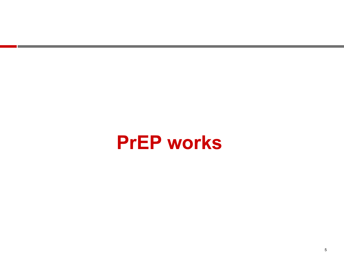## **PrEP works**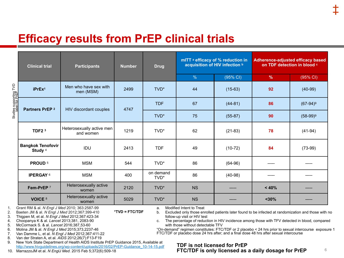|                                                           | <b>Clinical trial</b>                                                                                                                                                                                                                                                                                                                                                                                                                                                                                                                                                                                                                                                                                                                                                                                                                                                                                                                                                                                                                                                                                                                                                                                                                                                                  | <b>Participants</b>                    | <b>Number</b><br><b>Drug</b> |                   | mITT a efficacy of % reduction in<br>acquisition of HIV infection b |           | <b>Adherence-adjusted efficacy based</b><br>on TDF detection in blood c |             |
|-----------------------------------------------------------|----------------------------------------------------------------------------------------------------------------------------------------------------------------------------------------------------------------------------------------------------------------------------------------------------------------------------------------------------------------------------------------------------------------------------------------------------------------------------------------------------------------------------------------------------------------------------------------------------------------------------------------------------------------------------------------------------------------------------------------------------------------------------------------------------------------------------------------------------------------------------------------------------------------------------------------------------------------------------------------------------------------------------------------------------------------------------------------------------------------------------------------------------------------------------------------------------------------------------------------------------------------------------------------|----------------------------------------|------------------------------|-------------------|---------------------------------------------------------------------|-----------|-------------------------------------------------------------------------|-------------|
|                                                           |                                                                                                                                                                                                                                                                                                                                                                                                                                                                                                                                                                                                                                                                                                                                                                                                                                                                                                                                                                                                                                                                                                                                                                                                                                                                                        |                                        |                              |                   | $\%$                                                                | (95% CI)  | $\%$                                                                    | (95% CI)    |
| Studies supporting TVD<br>label for PrEB                  | iPrEx <sup>1</sup>                                                                                                                                                                                                                                                                                                                                                                                                                                                                                                                                                                                                                                                                                                                                                                                                                                                                                                                                                                                                                                                                                                                                                                                                                                                                     | Men who have sex with<br>men (MSM)     | 2499                         | TVD <sup>*</sup>  | 44                                                                  | $(15-63)$ | 92                                                                      | $(40-99)$   |
|                                                           | Partners PrEP <sup>2</sup>                                                                                                                                                                                                                                                                                                                                                                                                                                                                                                                                                                                                                                                                                                                                                                                                                                                                                                                                                                                                                                                                                                                                                                                                                                                             | HIV discordant couples                 | 4747                         | <b>TDF</b>        | 67                                                                  | $(44-81)$ | 86                                                                      | $(67-94)^9$ |
|                                                           |                                                                                                                                                                                                                                                                                                                                                                                                                                                                                                                                                                                                                                                                                                                                                                                                                                                                                                                                                                                                                                                                                                                                                                                                                                                                                        |                                        |                              | TVD*              | 75                                                                  | $(55-87)$ | 90                                                                      | $(58-99)^9$ |
|                                                           | TDF <sub>2</sub> <sup>3</sup>                                                                                                                                                                                                                                                                                                                                                                                                                                                                                                                                                                                                                                                                                                                                                                                                                                                                                                                                                                                                                                                                                                                                                                                                                                                          | Heterosexually active men<br>and women | 1219                         | TVD*              | 62                                                                  | $(21-83)$ | 78                                                                      | $(41-94)$   |
|                                                           | <b>Bangkok Tenofovir</b><br>Study <sup>4</sup>                                                                                                                                                                                                                                                                                                                                                                                                                                                                                                                                                                                                                                                                                                                                                                                                                                                                                                                                                                                                                                                                                                                                                                                                                                         | IDU                                    | 2413                         | <b>TDF</b>        | 49                                                                  | $(10-72)$ | 84                                                                      | $(73-99)$   |
|                                                           | PROUD <sup>5</sup>                                                                                                                                                                                                                                                                                                                                                                                                                                                                                                                                                                                                                                                                                                                                                                                                                                                                                                                                                                                                                                                                                                                                                                                                                                                                     | <b>MSM</b>                             | 544                          | TVD*              | 86                                                                  | $(64-96)$ | -----                                                                   |             |
|                                                           | <b>IPERGAY 6</b>                                                                                                                                                                                                                                                                                                                                                                                                                                                                                                                                                                                                                                                                                                                                                                                                                                                                                                                                                                                                                                                                                                                                                                                                                                                                       | <b>MSM</b>                             | 400                          | on demand<br>TVD* | 86                                                                  | $(40-98)$ |                                                                         |             |
|                                                           | Fem-PrEP 7                                                                                                                                                                                                                                                                                                                                                                                                                                                                                                                                                                                                                                                                                                                                                                                                                                                                                                                                                                                                                                                                                                                                                                                                                                                                             | Heterosexually active<br>women         | 2120                         | TVD*              | <b>NS</b>                                                           |           | < 40%                                                                   |             |
|                                                           | VOICE <sup>8</sup>                                                                                                                                                                                                                                                                                                                                                                                                                                                                                                                                                                                                                                                                                                                                                                                                                                                                                                                                                                                                                                                                                                                                                                                                                                                                     | Heterosexually active<br>women         | 5029                         | TVD*              | <b>NS</b>                                                           |           | $30%$                                                                   |             |
| 1.<br>2.<br>3.<br>4.<br>5.<br>6.<br>7.<br>8.<br>9.<br>10. | Grant RM & al. N Engl J Med 2010; 363:2587-99<br>Modified Intent to Treat<br>a.<br>$*TVD = FTC/TDF$<br>Baeten JM & al. N Engl J Med 2012;367:399-410<br>Excluded only those enrolled patients later found to be infected at randomization and those with r<br>b.<br>Thigpen M, et al. N Engl J Med 2012;367:423-34<br>follow-up visit or HIV test<br>Choopanya K & al. Lancet 2013;381, 2083-90<br>The percentage of reduction in HIV incidence among those with TFV detected in blood, compare<br>c.<br>McCormack S. & al. Lancet 2016;387,53-60<br>with those without detectable TFV<br>"On-demand" regimen constitutes: FTC/TDF or 2 placebo < 24 hrs prior to sexual intercourse exposui<br>Molina JM & al. N Engl J Med 2015;373,2237-46<br>FTC/TDF or placebo dose 24 hrs after; and a final dose 48 hrs after sexual intercourse<br>Van Damme L, et al. N Engl J Med 2012;367:411-22<br>Van der Straten A, et al. AIDS 2012;26(7):F13-F19<br>New York State Department of Health AIDS Institute PrEP Guidance 2015, Available at<br><b>TDF is not licensed for PrEP</b><br>http://www.hivguidelines.org/wp-content/uploads/2016/02/PrEP-Guidance 10-14-15.pdf<br>FTC/TDF is only licensed as a daily dosage for PrEP<br>MarrazzoJM et al. N EnglJ Med. 2015 Feb 5;372(6):509-18 |                                        |                              |                   | 6                                                                   |           |                                                                         |             |

#### **TDF is not licensed for PrEP FTC/TDF is only licensed as a daily dosage for PrEP**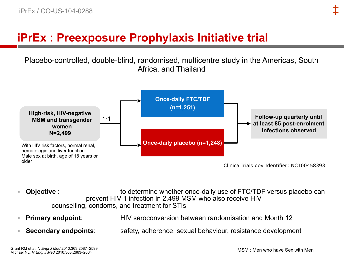### **iPrEx : Preexposure Prophylaxis Initiative trial**

Placebo-controlled, double-blind, randomised, multicentre study in the Americas, South Africa, and Thailand



- **Objective**: to determine whether once-daily use of FTC/TDF versus placebo can prevent HIV-1 infection in 2,499 MSM who also receive HIV counselling, condoms, and treatment for STIs
- **Primary endpoint:** HIV seroconversion between randomisation and Month 12
- **Secondary endpoints:** safety, adherence, sexual behaviour, resistance development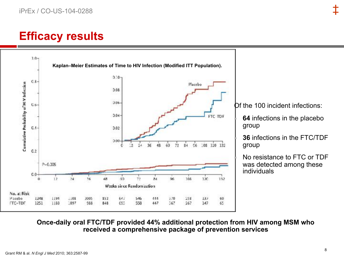### **Efficacy results**



Of the 100 incident infections:

**64** infections in the placebo

**36** infections in the FTC/TDF

No resistance to FTC or TDF was detected among these individuals

**Once-daily oral FTC/TDF provided 44% additional protection from HIV among MSM who received a comprehensive package of prevention services**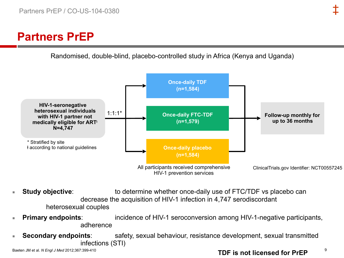### **Partners PrEP**

Randomised, double-blind, placebo-controlled study in Africa (Kenya and Uganda)



- **Study objective:** to determine whether once-daily use of FTC/TDF vs placebo can decrease the acquisition of HIV-1 infection in 4,747 serodiscordant heterosexual couples
- **Primary endpoints:** incidence of HIV-1 seroconversion among HIV-1-negative participants, adherence
- **Secondary endpoints:** safety, sexual behaviour, resistance development, sexual transmitted infections (STI)

Baeten JM et al. *N Engl J Med* 2012;367:399-410

#### **TDF is not licensed for PrEP**

9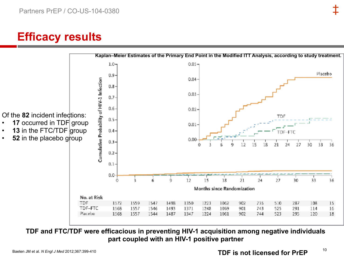### **Efficacy results**



**TDF and FTC/TDF were efficacious in preventing HIV-1 acquisition among negative individuals part coupled with an HIV-1 positive partner**

10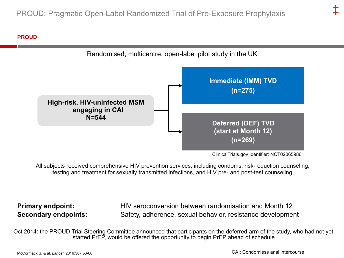#### **PROUD**



ClinicalTrials.gov Identifier: NCT02065986

All subjects received comprehensive HIV prevention services, including condoms, risk-reduction counseling, testing and treatment for sexually transmitted infections, and HIV pre- and post-test counseling

**Primary endpoint: HIV** seroconversion between randomisation and Month 12 **Secondary endpoints:** Safety, adherence, sexual behavior, resistance development

Oct 2014: the PROUD Trial Steering Committee announced that participants on the deferred arm of the study, who had not yet started PrEP, would be offered the opportunity to begin PrEP ahead of schedule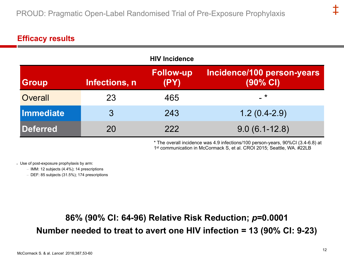#### **Efficacy results**

|              |               | <b>HIV Incidence</b>     |                                        |
|--------------|---------------|--------------------------|----------------------------------------|
| <b>Group</b> | Infections, n | <b>Follow-up</b><br>(PY) | Incidence/100 person-years<br>(90% CI) |
| Overall      | 23            | 465                      | $-$ *                                  |
| Immediate    | 3             | 243                      | $1.2(0.4-2.9)$                         |
| Deferred     | 20            | 222                      | $9.0(6.1-12.8)$                        |

\* The overall incidence was 4.9 infections/100 person-years, 90%CI (3.4-6.8) at 1st communication in McCormack S, et al. CROI 2015; Seattle, WA. #22LB

**Use of post-exposure prophylaxis by arm:** 

– IMM: 12 subjects (4.4%); 14 prescriptions

– DEF: 85 subjects (31.5%); 174 prescriptions

### **86% (90% CI: 64-96) Relative Risk Reduction;** *p***=0.0001 Number needed to treat to avert one HIV infection = 13 (90% CI: 9-23)**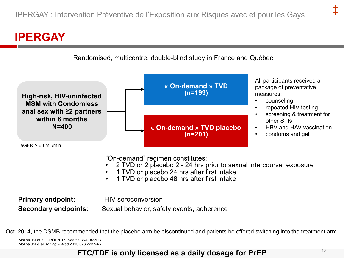### **IPERGAY**



- 1 TVD or placebo 24 hrs after first intake 1 TVD or placebo 48 hrs after first intake
- 

**Primary endpoint:** HIV seroconversion

**Secondary endpoints:** Sexual behavior, safety events, adherence

Oct. 2014, the DSMB recommended that the placebo arm be discontinued and patients be offered switching into the treatment arm.

Molina JM et al. CROI 2015; Seattle, WA. #23LB Molina JM & al. *N Engl J Med* 2015;373,2237-46

#### <sup>13</sup> **FTC/TDF is only licensed as a daily dosage for PrEP**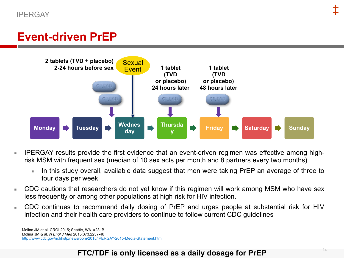### **Event-driven PrEP**



- **EXTERGAY results provide the first evidence that an event-driven regimen was effective among high**risk MSM with frequent sex (median of 10 sex acts per month and 8 partners every two months).
	- In this study overall, available data suggest that men were taking PrEP an average of three to four days per week.
- CDC cautions that researchers do not yet know if this regimen will work among MSM who have sex less frequently or among other populations at high risk for HIV infection.
- CDC continues to recommend daily dosing of PrEP and urges people at substantial risk for HIV infection and their health care providers to continue to follow current CDC guidelines

Molina JM et al. CROI 2015; Seattle, WA. #23LB Molina JM & al. *N Engl J Med* 2015;373,2237-46 <http://www.cdc.gov/nchhstp/newsroom/2015/IPERGAY-2015-Media-Statement.html>

#### **FTC/TDF is only licensed as a daily dosage for PrEP**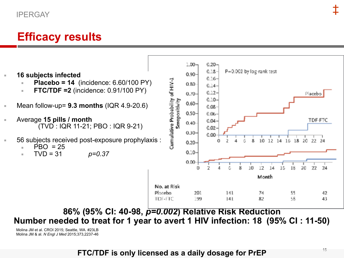#### IPERGAY

### **Efficacy results**



- **Placebo = 14** (incidence: 6.60/100 PY)
- **FTC/TDF =2** (incidence: 0.91/100 PY)
- Mean follow-up= **9.3 months** (IQR 4.9-20.6)
- Average **15 pills / month** (TVD : IQR 11-21; PBO : IQR 9-21)
- 56 subjects received post-exposure prophylaxis :
	- $\overline{P}BO = 25$
	- $TVD = 31$ *p=0.37*



#### **86% (95% CI: 40-98,** *p=0.002***) Relative Risk Reduction Number needed to treat for 1 year to avert 1 HIV infection: 18 (95% CI : 11-50)**

Molina JM et al. CROI 2015; Seattle, WA. #23LB Molina JM & al. *N Engl J Med* 2015;373,2237-46

#### **FTC/TDF is only licensed as a daily dosage for PrEP**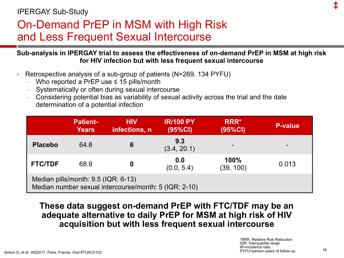#### IPERGAY Sub-Study

### On-Demand PrEP in MSM with High Risk and Less Frequent Sexual Intercourse

#### **Sub-analysis in IPERGAY trial to assess the effectiveness of on-demand PrEP in MSM at high risk for HIV infection but with less frequent sexual intercourse**

- Retrospective analysis of a sub-group of patients (N=269, 134 PYFU)
	- Who reported a PrEP use ≤ 15 pills/month
	- Systematically or often during sexual intercourse
	- Considering potential bias as variability of sexual activity across the trial and the date determination of a potential infection

|                                                                                              | <b>Patient-</b><br><b>Years</b> | <b>HIV</b><br>infections, n | <b>IR/100 PY</b><br>(95%CI) | RRR*<br>(95%CI)   | <b>P-value</b> |
|----------------------------------------------------------------------------------------------|---------------------------------|-----------------------------|-----------------------------|-------------------|----------------|
| <b>Placebo</b>                                                                               | 64.8                            | 6                           | 9.3<br>(3.4, 20.1)          |                   |                |
| <b>FTC/TDF</b>                                                                               | 68.9                            | 0                           | 0.0<br>(0.0, 5.4)           | 100%<br>(39, 100) | 0.013          |
| Median pills/month: 9.5 (IQR: 6-13)<br>Median number sexual intercourse/month: 5 (IQR: 2-10) |                                 |                             |                             |                   |                |

#### **These data suggest on-demand PrEP with FTC/TDF may be an adequate alternative to daily PrEP for MSM at high risk of HIV acquisition but with less frequent sexual intercourse**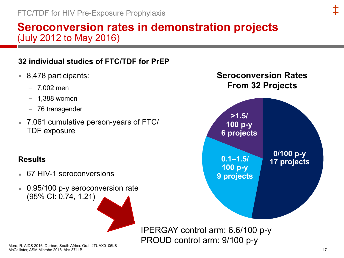### **Seroconversion rates in demonstration projects** (July 2012 to May 2016)

#### **32 individual studies of FTC/TDF for PrEP**

- 8,478 participants:
	- $-7,002$  men
	- $-1,388$  women
	- 76 transgender
- 7,061 cumulative person-years of FTC/ TDF exposure

#### **Results**

- 67 HIV-1 seroconversions
- 0.95/100 p-y seroconversion rate (95% CI: 0.74, 1.21)

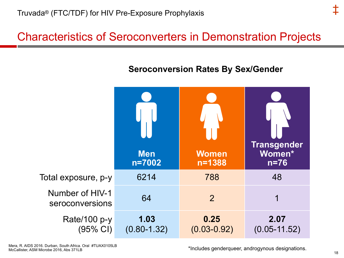### Characteristics of Seroconverters in Demonstration Projects

#### **Seroconversion Rates By Sex/Gender**



\*Includes genderqueer, androgynous designations. 18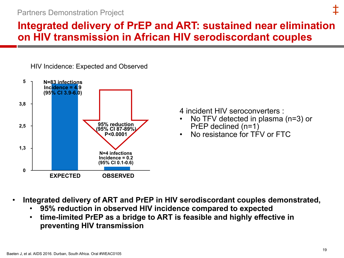#### Partners Demonstration Project

### **Integrated delivery of PrEP and ART: sustained near elimination on HIV transmission in African HIV serodiscordant couples**





4 incident HIV seroconverters :

- No TFV detected in plasma (n=3) or PrEP declined (n=1)
- No resistance for TFV or FTC

- **Integrated delivery of ART and PrEP in HIV serodiscordant couples demonstrated,** 
	- **95% reduction in observed HIV incidence compared to expected**
	- **time-limited PrEP as a bridge to ART is feasible and highly effective in preventing HIV transmission**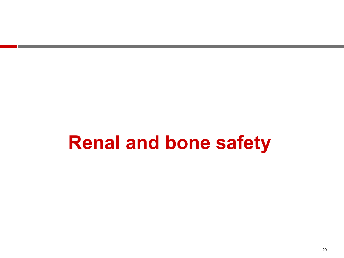# **Renal and bone safety**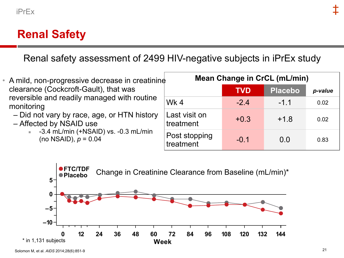### **Renal Safety**

Renal safety assessment of 2499 HIV-negative subjects in iPrEx study



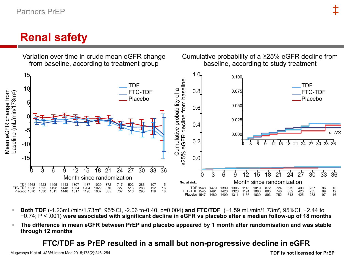### **Renal safety**



- **Both TDF** (-1.23mL/min/1.73m², 95%CI, -2.06 to-0.40, p=0.004) **and FTC/TDF** (−1.59 mL/min/1.73m², 95%CI, −2.44 to −0.74; P < .001) **were associated with significant decline in eGFR vs placebo after a median follow-up of 18 months**
- The difference in mean eGFR between PrEP and placebo appeared by 1 month after randomisation and was stable **through 12 months**

#### **FTC/TDF as PrEP resulted in a small but non-progressive decline in eGFR**

Mugwanya K et al. *JAMA* Intern Med 2015;175(2):246–254

#### **TDF is not licensed for PrEP**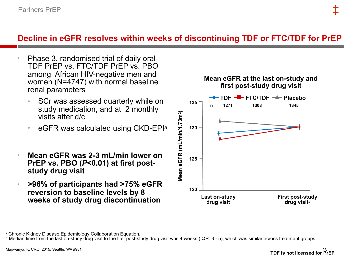#### **Decline in eGFR resolves within weeks of discontinuing TDF or FTC/TDF for PrEP**

- Phase 3, randomised trial of daily oral TDF PrEP vs. FTC/TDF PrEP vs. PBO among African HIV-negative men and women (N=4747) with normal baseline renal parameters
	- SCr was assessed quarterly while on study medication, and at 2 monthly visits after d/c
	- eGFR was calculated using CKD-EPIa
- **Mean eGFR was 2-3 mL/min lower on PrEP vs. PBO (***P***<0.01) at first poststudy drug visit**
- **>96% of participants had >75% eGFR reversion to baseline levels by 8 weeks of study drug discontinuation**



**<sup>a</sup>** Chronic Kidney Disease Epidemiology Collaboration Equation.

b Median time from the last on-study drug visit to the first post-study drug visit was 4 weeks (IQR: 3 - 5), which was similar across treatment groups.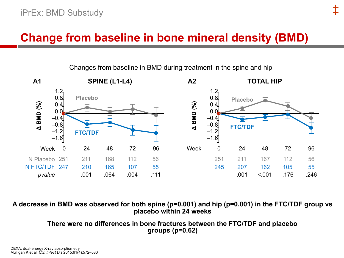### **Change from baseline in bone mineral density (BMD)**

**SPINE (L1-L4) A1 A2 TOTAL HIP**  $1.2 -$ 1.2 0.8 0.8 **Placebo Placebo**  $\Delta$  BMD  $(^{96}_{0})$ **Δ BMD (%) A BMD (%) Δ BMD (%)** 0.4 0.4 0.0  $0.0$  $-0.4$ –0.4 –0.8  $-0.8$ **FTC/TDF**  $-1.2$  $-1.2$ **FTC/TDF**  $-1.6$  $-1.\overline{6}$ Week 0 24 48 72 96 24 24 Week 0 48 72 96 N Placebo 251 251 211 168 112 56 251 211 167 112 56 N FTC/TDF 247 210 165 107 55 245 207 162 105 55 001 064 004 111  $.001$   $< 0.01$   $.176$   $.246$ *pvalue*

Changes from baseline in BMD during treatment in the spine and hip

‡

#### **A decrease in BMD was observed for both spine (p=0.001) and hip (p=0.001) in the FTC/TDF group vs placebo within 24 weeks**

**There were no differences in bone fractures between the FTC/TDF and placebo groups (p=0.62)**

DEXA, dual-energy X-ray absorptiometry Mulligan K et al. *Clin Infect Dis* 2015;61(4):572–580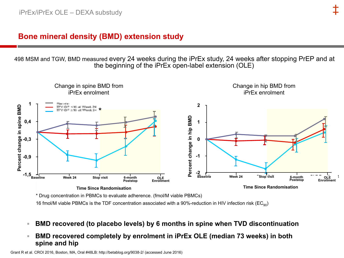#### **Bone mineral density (BMD) extension study**

498 MSM and TGW, BMD measured every 24 weeks during the iPrEx study, 24 weeks after stopping PrEP and at the beginning of the iPrEx open-label extension (OLE)



\* Drug concentration in PBMCs to evaluate adherence. (fmol/M viable PBMCs)

16 fmol/M viable PBMCs is the TDF concentration associated with a 90%-reduction in HIV infection risk ( $EC_{90}$ )

- **BMD recovered (to placebo levels) by 6 months in spine when TVD discontinuation**
- **BMD recovered completely by enrolment in iPrEx OLE (median 73 weeks) in both spine and hip**

Grant R et al. CROI 2016, Boston, MA, Oral #48LB: http://betablog.org/9038-2/ (accessed June 2016)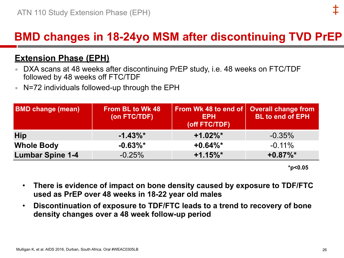### **BMD changes in 18-24yo MSM after discontinuing TVD PrEP**

#### **Extension Phase (EPH)**

- DXA scans at 48 weeks after discontinuing PrEP study, i.e. 48 weeks on FTC/TDF followed by 48 weeks off FTC/TDF
- N=72 individuals followed-up through the EPH

| <b>BMD change (mean)</b> | <b>From BL to Wk 48</b><br>(on FTC/TDF) | <b>From Wk 48 to end of Overall change from</b><br><b>EPH</b><br>(off FTC/TDF) | <b>BL to end of EPH</b> |
|--------------------------|-----------------------------------------|--------------------------------------------------------------------------------|-------------------------|
| Hip                      | $-1.43\%$ *                             | $+1.02\%$ *                                                                    | $-0.35\%$               |
| <b>Whole Body</b>        | $-0.63\%$ *                             | $+0.64\%$ *                                                                    | $-0.11\%$               |
| <b>Lumbar Spine 1-4</b>  | $-0.25%$                                | $+1.15\%$ *                                                                    | $+0.87\%$ *             |

**\*p<0.05**

- **There is evidence of impact on bone density caused by exposure to TDF/FTC used as PrEP over 48 weeks in 18-22 year old males**
- **Discontinuation of exposure to TDF/FTC leads to a trend to recovery of bone density changes over a 48 week follow-up period**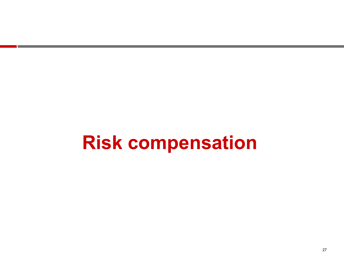# **Risk compensation**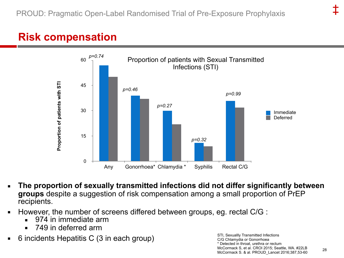### **Risk compensation**



- The proportion of sexually transmitted infections did not differ significantly between **groups** despite a suggestion of risk compensation among a small proportion of PrEP recipients.
- However, the number of screens differed between groups, eg. rectal C/G :
	- 974 in immediate arm
	- 749 in deferred arm
- 6 incidents Hepatitis C (3 in each group)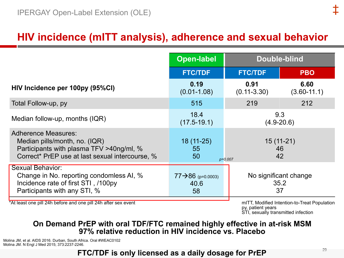### **HIV incidence (mITT analysis), adherence and sexual behavior**

|                                                                                                                                                            | <b>Open-label</b>                            | <b>Double-blind</b>                 |                         |
|------------------------------------------------------------------------------------------------------------------------------------------------------------|----------------------------------------------|-------------------------------------|-------------------------|
|                                                                                                                                                            | <b>FTC/TDF</b>                               | <b>FTC/TDF</b>                      | <b>PBO</b>              |
| HIV Incidence per 100py (95%CI)                                                                                                                            | 0.19<br>$(0.01 - 1.08)$                      | 0.91<br>$(0.11 - 3.30)$             | 6.60<br>$(3.60 - 11.1)$ |
| Total Follow-up, py                                                                                                                                        | 515                                          | 219                                 | 212                     |
| Median follow-up, months (IQR)                                                                                                                             | 18.4<br>$(17.5 - 19.1)$                      | 9.3<br>$(4.9 - 20.6)$               |                         |
| <b>Adherence Measures:</b><br>Median pills/month, no. (IQR)<br>Participants with plasma TFV >40ng/ml, %<br>Correct* PrEP use at last sexual intercourse, % | $18(11-25)$<br>55<br>50<br>$p=0.007$         | $15(11-21)$<br>46<br>42             |                         |
| Sexual Behavior:<br>Change in No. reporting condomless AI, %<br>Incidence rate of first STI, /100py<br>Participants with any STI, %                        | $77 \rightarrow 86$ (p=0.0003)<br>40.6<br>58 | No significant change<br>35.2<br>37 |                         |

\*At least one pill 24h before and one pill 24h after sex event

mITT, Modified Intention-to-Treat Population py, patient years STI, sexually transmitted infection

#### **On Demand PrEP with oral TDF/FTC remained highly effective in at-risk MSM 97% relative reduction in HIV incidence vs. Placebo**

Molina JM, et al. AIDS 2016. Durban, South Africa. Oral #WEAC0102 Molina JM. N Engl J Med 2015; 373:2237-2246.

**FTC/TDF is only licensed as a daily dosage for PrEP**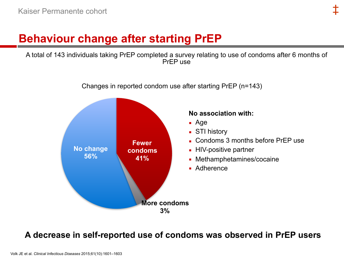### **Behaviour change after starting PrEP**

A total of 143 individuals taking PrEP completed a survey relating to use of condoms after 6 months of PrEP use

Changes in reported condom use after starting PrEP (n=143)



#### **A decrease in self-reported use of condoms was observed in PrEP users**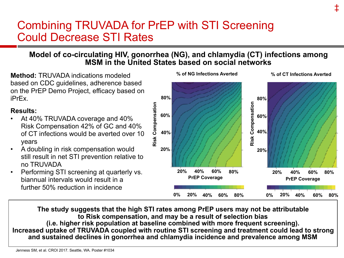### Combining TRUVADA for PrEP with STI Screening Could Decrease STI Rates

#### **Model of co-circulating HIV, gonorrhea (NG), and chlamydia (CT) infections among MSM in the United States based on social networks**

**Method:** TRUVADA indications modeled based on CDC guidelines, adherence based on the PrEP Demo Project, efficacy based on iPrEx.

#### **Results:**

- At 40% TRUVADA coverage and 40% Risk Compensation 42% of GC and 40% of CT infections would be averted over 10 years
- A doubling in risk compensation would still result in net STI prevention relative to no TRUVADA
- Performing STI screening at quarterly vs. biannual intervals would result in a further 50% reduction in incidence



**The study suggests that the high STI rates among PrEP users may not be attributable to Risk compensation, and may be a result of selection bias (i.e. higher risk population at baseline combined with more frequent screening). Increased uptake of TRUVADA coupled with routine STI screening and treatment could lead to strong and sustained declines in gonorrhea and chlamydia incidence and prevalence among MSM**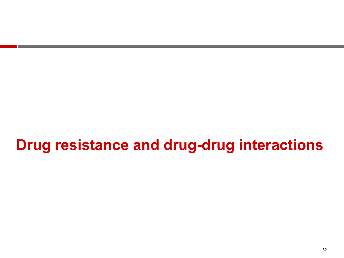### **Drug resistance and drug-drug interactions**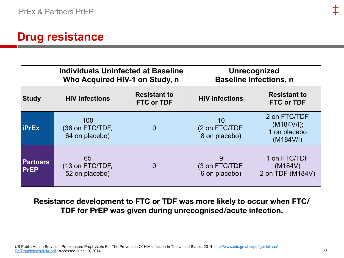### **Drug resistance**

|                                |                                          | <b>Individuals Uninfected at Baseline</b><br>Who Acquired HIV-1 on Study, n | Unrecognized<br><b>Baseline Infections, n</b> |                                                         |  |
|--------------------------------|------------------------------------------|-----------------------------------------------------------------------------|-----------------------------------------------|---------------------------------------------------------|--|
| <b>Study</b>                   | <b>HIV Infections</b>                    | <b>Resistant to</b><br><b>FTC or TDF</b>                                    | <b>HIV Infections</b>                         | <b>Resistant to</b><br><b>FTC or TDF</b>                |  |
| <b>liPrEx</b>                  | 100<br>(36 on FTC/TDF,<br>64 on placebo) | $\overline{0}$                                                              | 10<br>(2 on FTC/TDF,<br>8 on placebo)         | 2 on FTC/TDF<br>(M184V/I);<br>1 on placebo<br>(M184V/I) |  |
| <b>Partners</b><br><b>PrEP</b> | 65<br>(13 on FTC/TDF,<br>52 on placebo)  | $\overline{0}$                                                              | 9<br>(3 on FTC/TDF,<br>6 on placebo)          | 1 on FTC/TDF<br>(M184V)<br>2 on TDF (M184V)             |  |

**Resistance development to FTC or TDF was more likely to occur when FTC/ TDF for PrEP was given during unrecognised/acute infection.**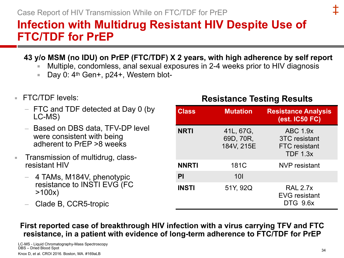### **Infection with Multidrug Resistant HIV Despite Use of FTC/TDF for PrEP**

#### **43 y/o MSM (no IDU) on PrEP (FTC/TDF) X 2 years, with high adherence by self report**

- Multiple, condomless, anal sexual exposures in 2-4 weeks prior to HIV diagnosis
- Day 0:  $4<sup>th</sup>$  Gen+,  $p24+$ , Western blot-
- $\blacksquare$  FTC/TDF levels:
	- FTC and TDF detected at Day 0 (by LC-MS)
	- Based on DBS data, TFV-DP level were consistent with being adherent to PrEP >8 weeks
- Transmission of multidrug, classresistant HIV
	- 4 TAMs, M184V, phenotypic resistance to INSTI EVG (FC >100x)
	- Clade B, CCR5-tropic

#### **Resistance Testing Results**

| <b>Class</b> | <b>Mutation</b>                      | <b>Resistance Analysis</b><br>(est. IC50 FC)                                       |
|--------------|--------------------------------------|------------------------------------------------------------------------------------|
| <b>NRTI</b>  | 41L, 67G,<br>69D, 70R,<br>184V, 215E | <b>ABC 1.9x</b><br><b>3TC</b> resistant<br><b>FTC</b> resistant<br><b>TDF 1.3x</b> |
| <b>NNRTI</b> | 181C                                 | NVP resistant                                                                      |
| PI           | <b>10I</b>                           |                                                                                    |
| <b>INSTI</b> | 51Y, 92Q                             | <b>RAL 2.7x</b><br><b>EVG</b> resistant<br>DTG 9.6x                                |

**First reported case of breakthrough HIV infection with a virus carrying TFV and FTC resistance, in a patient with evidence of long-term adherence to FTC/TDF for PrEP**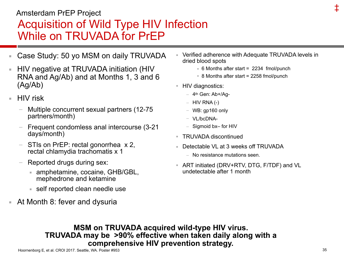### Acquisition of Wild Type HIV Infection While on TRUVADA for PrEP Amsterdam PrEP Project

- Case Study: 50 yo MSM on daily TRUVADA
- HIV negative at TRUVADA initiation (HIV RNA and Ag/Ab) and at Months 1, 3 and 6 (Ag/Ab)
- **HIV** risk
	- Multiple concurrent sexual partners (12-75 partners/month)
	- Frequent condomless anal intercourse (3-21 days/month)
	- STIs on PrEP: rectal gonorrhea x 2, rectal chlamydia trachomatis x 1
	- Reported drugs during sex:
		- amphetamine, cocaine, GHB/GBL, mephedrone and ketamine
		- self reported clean needle use
- At Month 8: fever and dysuria
- Verified adherence with Adequate TRUVADA levels in dried blood spots
	- $\overline{6}$  Months after start = 2234 fmol/punch
	- $\overline{8}$  8 Months after start = 2258 fmol/punch
- HIV diagnostics:
	- $-$  4<sup>th</sup> Gen: Ab+/Aq-
	- $-$  HIV RNA (-)
	- WB: gp160 only
	- VL/bcDNA-
	- Sigmoid bx– for HIV
- TRUVADA discontinued
- **E** Detectable VL at 3 weeks off TRUVADA
	- No resistance mutations seen.
- ART initiated (DRV+RTV, DTG, F/TDF) and VL undetectable after 1 month

**MSM on TRUVADA acquired wild-type HIV virus. TRUVADA may be >90% effective when taken daily along with a comprehensive HIV prevention strategy.**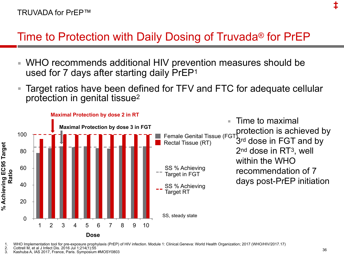### Time to Protection with Daily Dosing of Truvada® for PrEP

- WHO recommends additional HIV prevention measures should be used for 7 days after starting daily PrEP1
- Target ratios have been defined for TFV and FTC for adequate cellular protection in genital tissue2



1. WHO Implementation tool for pre-exposure prophylaxis (PrEP) of HIV infection. Module 1: Clinical.Geneva: World Health Organization; 2017 (WHO/HIV/2017.17)<br>2. Cottrell M. et al J Infect Dis. 2016 Jul 1:214(1):55

2. Cottrell M, et al J Infect Dis. 2016 Jul 1;214(1):55

3. Kashuba A, IAS 2017, France, Paris. Symposium #MOSY0803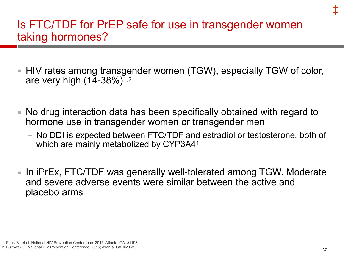### Is FTC/TDF for PrEP safe for use in transgender women taking hormones?

- HIV rates among transgender women (TGW), especially TGW of color, are very high (14-38%)1,2
- No drug interaction data has been specifically obtained with regard to hormone use in transgender women or transgender men
	- No DDI is expected between FTC/TDF and estradiol or testosterone, both of which are mainly metabolized by CYP3A41
- **In iPrEx, FTC/TDF was generally well-tolerated among TGW. Moderate** and severe adverse events were similar between the active and placebo arms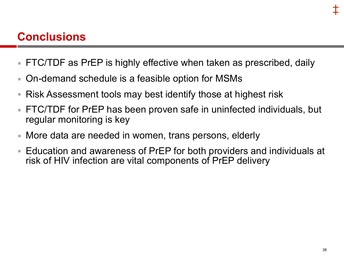### **Conclusions**

- FTC/TDF as PrEP is highly effective when taken as prescribed, daily
- On-demand schedule is a feasible option for MSMs
- Risk Assessment tools may best identify those at highest risk
- FTC/TDF for PrEP has been proven safe in uninfected individuals, but regular monitoring is key
- More data are needed in women, trans persons, elderly
- Education and awareness of PrEP for both providers and individuals at risk of HIV infection are vital components of PrEP delivery